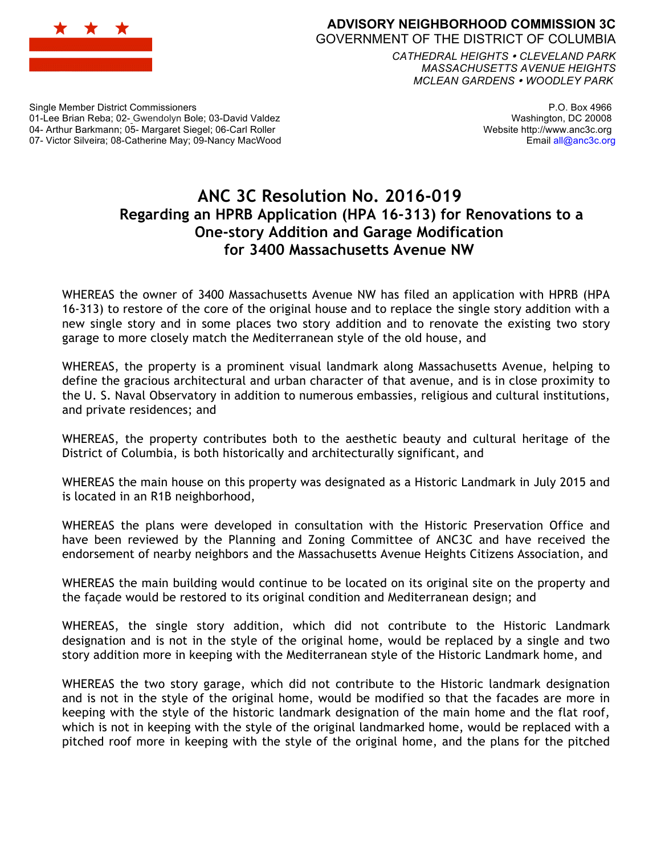

## **ADVISORY NEIGHBORHOOD COMMISSION 3C** GOVERNMENT OF THE DISTRICT OF COLUMBIA

*CATHEDRAL HEIGHTS CLEVELAND PARK MASSACHUSETTS AVENUE HEIGHTS MCLEAN GARDENS WOODLEY PARK*

Single Member District Commissioners 01-Lee Brian Reba; 02- Gwendolyn Bole; 03-David Valdez 04- Arthur Barkmann; 05- Margaret Siegel; 06-Carl Roller 07- Victor Silveira; 08-Catherine May; 09-Nancy MacWood

P.O. Box 4966 Washington, DC 20008 Website http://www.anc3c.org Email all@anc3c.org

## **ANC 3C Resolution No. 2016-019 Regarding an HPRB Application (HPA 16-313) for Renovations to a One-story Addition and Garage Modification for 3400 Massachusetts Avenue NW**

WHEREAS the owner of 3400 Massachusetts Avenue NW has filed an application with HPRB (HPA 16-313) to restore of the core of the original house and to replace the single story addition with a new single story and in some places two story addition and to renovate the existing two story garage to more closely match the Mediterranean style of the old house, and

WHEREAS, the property is a prominent visual landmark along Massachusetts Avenue, helping to define the gracious architectural and urban character of that avenue, and is in close proximity to the U. S. Naval Observatory in addition to numerous embassies, religious and cultural institutions, and private residences; and

WHEREAS, the property contributes both to the aesthetic beauty and cultural heritage of the District of Columbia, is both historically and architecturally significant, and

WHEREAS the main house on this property was designated as a Historic Landmark in July 2015 and is located in an R1B neighborhood,

WHEREAS the plans were developed in consultation with the Historic Preservation Office and have been reviewed by the Planning and Zoning Committee of ANC3C and have received the endorsement of nearby neighbors and the Massachusetts Avenue Heights Citizens Association, and

WHEREAS the main building would continue to be located on its original site on the property and the façade would be restored to its original condition and Mediterranean design; and

WHEREAS, the single story addition, which did not contribute to the Historic Landmark designation and is not in the style of the original home, would be replaced by a single and two story addition more in keeping with the Mediterranean style of the Historic Landmark home, and

WHEREAS the two story garage, which did not contribute to the Historic landmark designation and is not in the style of the original home, would be modified so that the facades are more in keeping with the style of the historic landmark designation of the main home and the flat roof, which is not in keeping with the style of the original landmarked home, would be replaced with a pitched roof more in keeping with the style of the original home, and the plans for the pitched